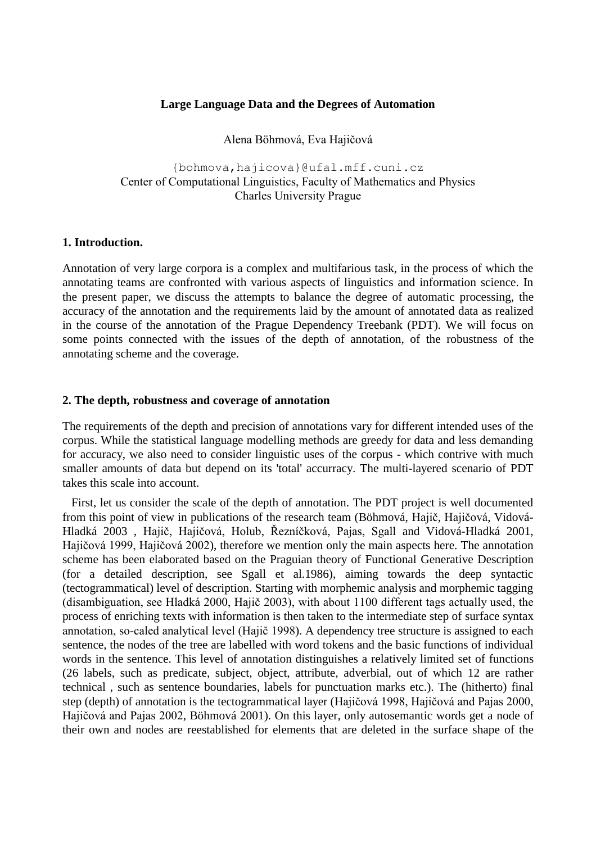#### **Large Language Data and the Degrees of Automation**

Alena Böhmová, Eva Hajičová

{bohmova, hajicova}@ufal.mff.cuni.cz Center of Computational Linguistics, Faculty of Mathematics and Physics Charles University Prague

#### **1. Introduction.**

Annotation of very large corpora is a complex and multifarious task, in the process of which the annotating teams are confronted with various aspects of linguistics and information science. In the present paper, we discuss the attempts to balance the degree of automatic processing, the accuracy of the annotation and the requirements laid by the amount of annotated data as realized in the course of the annotation of the Prague Dependency Treebank (PDT). We will focus on some points connected with the issues of the depth of annotation, of the robustness of the annotating scheme and the coverage.

### **2. The depth, robustness and coverage of annotation**

The requirements of the depth and precision of annotations vary for different intended uses of the corpus. While the statistical language modelling methods are greedy for data and less demanding for accuracy, we also need to consider linguistic uses of the corpus - which contrive with much smaller amounts of data but depend on its 'total' accurracy. The multi-layered scenario of PDT takes this scale into account.

First, let us consider the scale of the depth of annotation. The PDT project is well documented from this point of view in publications of the research team (Böhmová, Hajič, Hajičová, Vidová-Hladká 2003 , Hajič, Hajičová, Holub, Řezníčková, Pajas, Sgall and Vidová-Hladká 2001, Hajičová 1999, Hajičová 2002), therefore we mention only the main aspects here. The annotation scheme has been elaborated based on the Praguian theory of Functional Generative Description (for a detailed description, see Sgall et al.1986), aiming towards the deep syntactic (tectogrammatical) level of description. Starting with morphemic analysis and morphemic tagging (disambiguation, see Hladká 2000, Hajič 2003), with about 1100 different tags actually used, the process of enriching texts with information is then taken to the intermediate step of surface syntax annotation, so-caled analytical level (Hajič 1998). A dependency tree structure is assigned to each sentence, the nodes of the tree are labelled with word tokens and the basic functions of individual words in the sentence. This level of annotation distinguishes a relatively limited set of functions (26 labels, such as predicate, subject, object, attribute, adverbial, out of which 12 are rather technical , such as sentence boundaries, labels for punctuation marks etc.). The (hitherto) final step (depth) of annotation is the tectogrammatical layer (Hajičová 1998, Hajičová and Pajas 2000, Hajičová and Pajas 2002, Böhmová 2001). On this layer, only autosemantic words get a node of their own and nodes are reestablished for elements that are deleted in the surface shape of the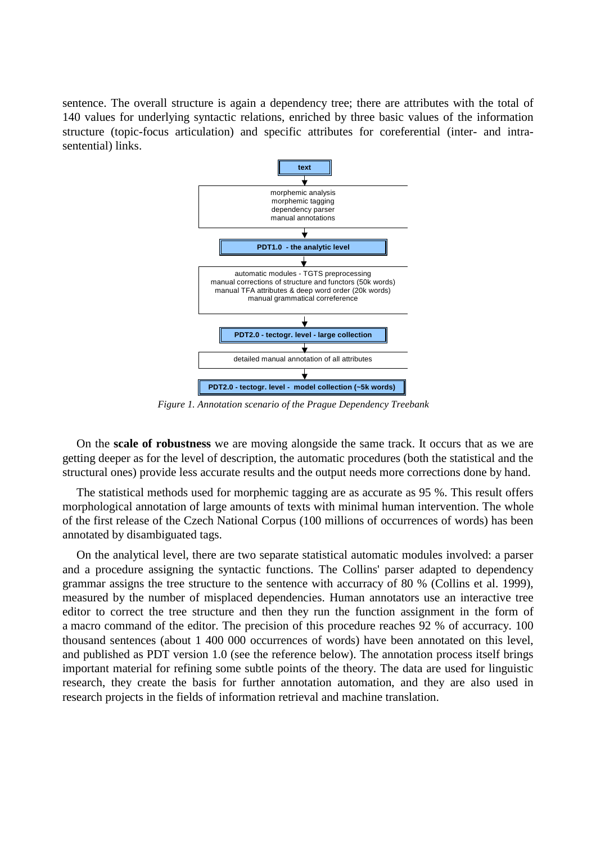sentence. The overall structure is again a dependency tree; there are attributes with the total of 140 values for underlying syntactic relations, enriched by three basic values of the information structure (topic-focus articulation) and specific attributes for coreferential (inter- and intrasentential) links.



*Figure 1. Annotation scenario of the Prague Dependency Treebank*

On the **scale of robustness** we are moving alongside the same track. It occurs that as we are getting deeper as for the level of description, the automatic procedures (both the statistical and the structural ones) provide less accurate results and the output needs more corrections done by hand.

The statistical methods used for morphemic tagging are as accurate as 95 %. This result offers morphological annotation of large amounts of texts with minimal human intervention. The whole of the first release of the Czech National Corpus (100 millions of occurrences of words) has been annotated by disambiguated tags.

On the analytical level, there are two separate statistical automatic modules involved: a parser and a procedure assigning the syntactic functions. The Collins' parser adapted to dependency grammar assigns the tree structure to the sentence with accurracy of 80 % (Collins et al. 1999), measured by the number of misplaced dependencies. Human annotators use an interactive tree editor to correct the tree structure and then they run the function assignment in the form of a macro command of the editor. The precision of this procedure reaches 92 % of accurracy. 100 thousand sentences (about 1 400 000 occurrences of words) have been annotated on this level, and published as PDT version 1.0 (see the reference below). The annotation process itself brings important material for refining some subtle points of the theory. The data are used for linguistic research, they create the basis for further annotation automation, and they are also used in research projects in the fields of information retrieval and machine translation.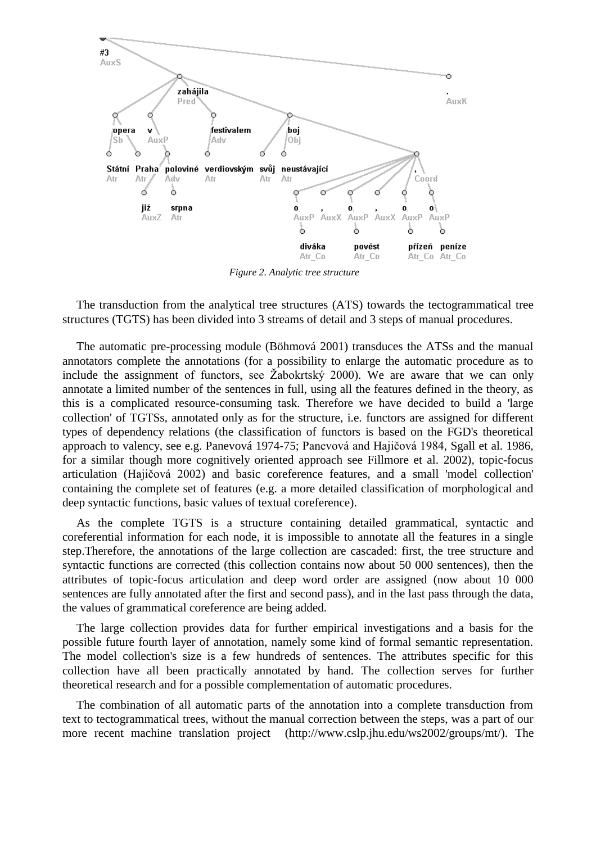

*Figure 2. Analytic tree structure*

The transduction from the analytical tree structures (ATS) towards the tectogrammatical tree structures (TGTS) has been divided into 3 streams of detail and 3 steps of manual procedures.

The automatic pre-processing module (Böhmová 2001) transduces the ATSs and the manual annotators complete the annotations (for a possibility to enlarge the automatic procedure as to include the assignment of functors, see  $\check{Z}$ abokrtský 2000). We are aware that we can only annotate a limited number of the sentences in full, using all the features defined in the theory, as this is a complicated resource-consuming task. Therefore we have decided to build a 'large collection' of TGTSs, annotated only as for the structure, i.e. functors are assigned for different types of dependency relations (the classification of functors is based on the FGD's theoretical approach to valency, see e.g. Panevová 1974-75; Panevová and Hajičová 1984, Sgall et al. 1986, for a similar though more cognitively oriented approach see Fillmore et al. 2002), topic-focus articulation (Hajičová 2002) and basic coreference features, and a small 'model collection' containing the complete set of features (e.g. a more detailed classification of morphological and deep syntactic functions, basic values of textual coreference).

As the complete TGTS is a structure containing detailed grammatical, syntactic and coreferential information for each node, it is impossible to annotate all the features in a single step.Therefore, the annotations of the large collection are cascaded: first, the tree structure and syntactic functions are corrected (this collection contains now about 50 000 sentences), then the attributes of topic-focus articulation and deep word order are assigned (now about 10 000 sentences are fully annotated after the first and second pass), and in the last pass through the data, the values of grammatical coreference are being added.

The large collection provides data for further empirical investigations and a basis for the possible future fourth layer of annotation, namely some kind of formal semantic representation. The model collection's size is a few hundreds of sentences. The attributes specific for this collection have all been practically annotated by hand. The collection serves for further theoretical research and for a possible complementation of automatic procedures.

The combination of all automatic parts of the annotation into a complete transduction from text to tectogrammatical trees, without the manual correction between the steps, was a part of our more recent machine translation project (http://www.cslp.jhu.edu/ws2002/groups/mt/). The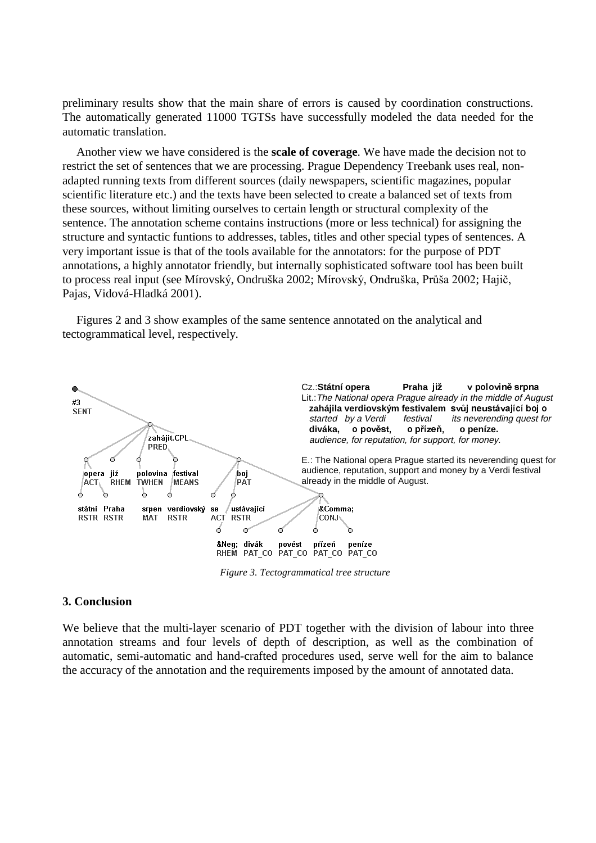preliminary results show that the main share of errors is caused by coordination constructions. The automatically generated 11000 TGTSs have successfully modeled the data needed for the automatic translation.

Another view we have considered is the **scale of coverage**. We have made the decision not to restrict the set of sentences that we are processing. Prague Dependency Treebank uses real, nonadapted running texts from different sources (daily newspapers, scientific magazines, popular scientific literature etc.) and the texts have been selected to create a balanced set of texts from these sources, without limiting ourselves to certain length or structural complexity of the sentence. The annotation scheme contains instructions (more or less technical) for assigning the structure and syntactic funtions to addresses, tables, titles and other special types of sentences. A very important issue is that of the tools available for the annotators: for the purpose of PDT annotations, a highly annotator friendly, but internally sophisticated software tool has been built to process real input (see Mírovský, Ondruška 2002; Mírovský, Ondruška, Průša 2002; Hajič, Pajas, Vidová-Hladká 2001).

Figures 2 and 3 show examples of the same sentence annotated on the analytical and tectogrammatical level, respectively.



*Figure 3. Tectogrammatical tree structure*

#### **3. Conclusion**

We believe that the multi-layer scenario of PDT together with the division of labour into three annotation streams and four levels of depth of description, as well as the combination of automatic, semi-automatic and hand-crafted procedures used, serve well for the aim to balance the accuracy of the annotation and the requirements imposed by the amount of annotated data.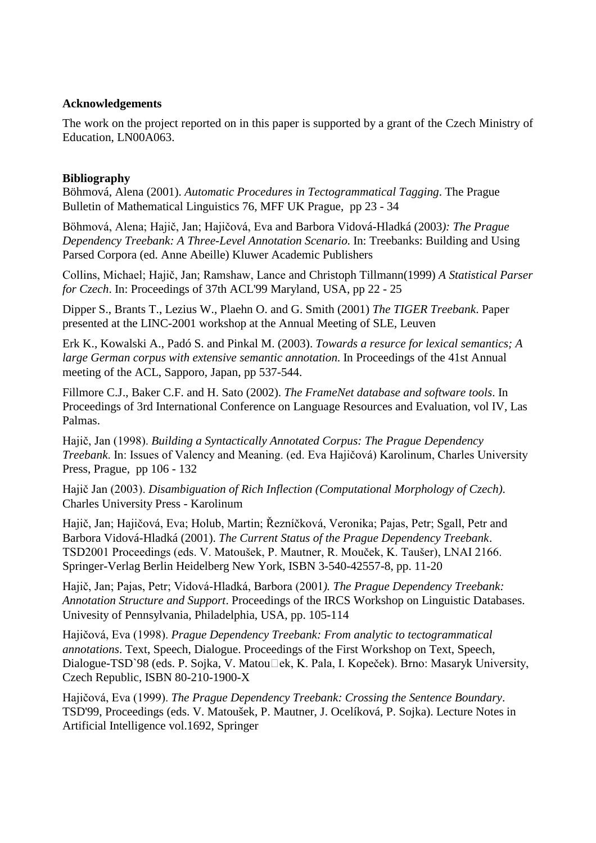# **Acknowledgements**

The work on the project reported on in this paper is supported by a grant of the Czech Ministry of Education, LN00A063.

## **Bibliography**

Böhmová, Alena (2001). *Automatic Procedures in Tectogrammatical Tagging*. The Prague Bulletin of Mathematical Linguistics 76, MFF UK Prague, pp 23 - 34

Böhmová, Alena; Hajič, Jan; Hajičová, Eva and Barbora Vidová-Hladká (2003): The Prague *Dependency Treebank: A Three-Level Annotation Scenario*. In: Treebanks: Building and Using Parsed Corpora (ed. Anne Abeille) Kluwer Academic Publishers

Collins, Michael; Hajič, Jan; Ramshaw, Lance and Christoph Tillmann(1999) *A Statistical Parser for Czech*. In: Proceedings of 37th ACL'99 Maryland, USA, pp 22 - 25

Dipper S., Brants T., Lezius W., Plaehn O. and G. Smith (2001) *The TIGER Treebank*. Paper presented at the LINC-2001 workshop at the Annual Meeting of SLE, Leuven

Erk K., Kowalski A., Padó S. and Pinkal M. (2003). *Towards a resurce for lexical semantics; A large German corpus with extensive semantic annotation*. In Proceedings of the 41st Annual meeting of the ACL, Sapporo, Japan, pp 537-544.

Fillmore C.J., Baker C.F. and H. Sato (2002). *The FrameNet database and software tools*. In Proceedings of 3rd International Conference on Language Resources and Evaluation, vol IV, Las Palmas.

Hajič, Jan (1998). Building a Syntactically Annotated Corpus: The Prague Dependency *Treebank*, In: Issues of Valency and Meaning. (ed. Eva Hajičová) Karolinum, Charles University Press, Prague, pp 106 - 132

Hajič Jan (2003). *Disambiguation of Rich Inflection (Computational Morphology of Czech)*. Charles University Press - Karolinum

Hajič, Jan; Hajičová, Eva; Holub, Martin; Řezníčková, Veronika; Pajas, Petr; Sgall, Petr and Barbora Vidová-Hladká (2001). *The Current Status of the Prague Dependency Treebank*. TSD2001 Proceedings (eds. V. Matoušek, P. Mautner, R. Mouček, K. Taušer), LNAI 2166. Springer-Verlag Berlin Heidelberg New York, ISBN 3-540-42557-8, pp. 11-20

Hajič, Jan; Pajas, Petr; Vidová-Hladká, Barbora (2001). The Prague Dependency Treebank: *Annotation Structure and Support*. Proceedings of the IRCS Workshop on Linguistic Databases. Univesity of Pennsylvania, Philadelphia, USA, pp. 105-114

Hajičová, Eva (1998). Prague Dependency Treebank: From analytic to tectogrammatical *annotations*. Text, Speech, Dialogue. Proceedings of the First Workshop on Text, Speech, Dialogue-TSD`98 (eds. P. Sojka, V. Matou $\Box$ ek, K. Pala, I. Kopeček). Brno: Masaryk University, Czech Republic, ISBN 80-210-1900-X

Hajičová, Eva (1999). The Prague Dependency Treebank: Crossing the Sentence Boundary. TSD'99, Proceedings (eds. V. Matoušek, P. Mautner, J. Ocelíková, P. Sojka). Lecture Notes in Artificial Intelligence vol.1692, Springer